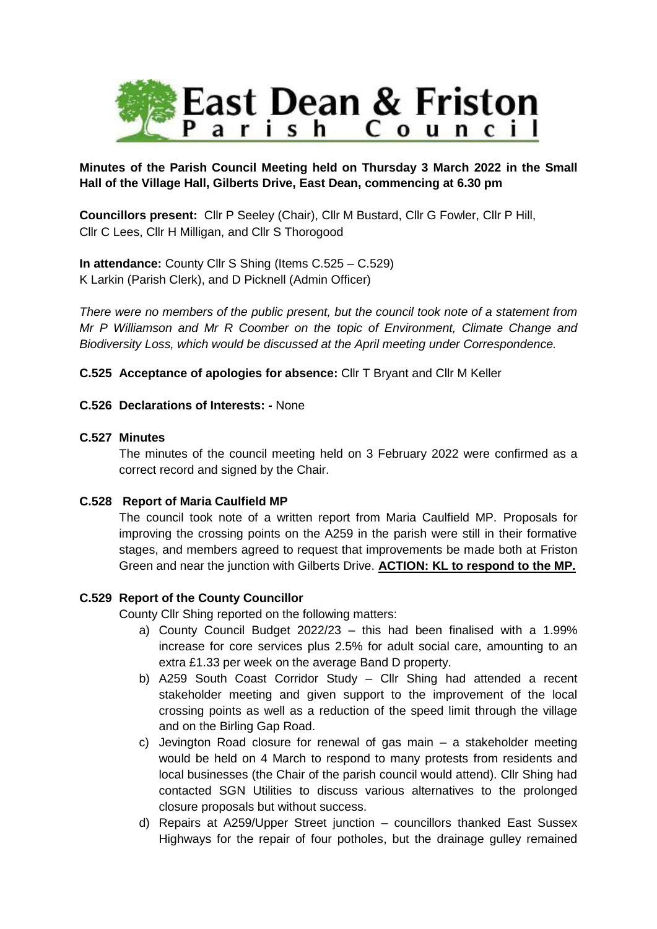

# **Minutes of the Parish Council Meeting held on Thursday 3 March 2022 in the Small Hall of the Village Hall, Gilberts Drive, East Dean, commencing at 6.30 pm**

**Councillors present:** Cllr P Seeley (Chair), Cllr M Bustard, Cllr G Fowler, Cllr P Hill, Cllr C Lees, Cllr H Milligan, and Cllr S Thorogood

**In attendance:** County Cllr S Shing (Items C.525 – C.529) K Larkin (Parish Clerk), and D Picknell (Admin Officer)

*There were no members of the public present, but the council took note of a statement from Mr P Williamson and Mr R Coomber on the topic of Environment, Climate Change and Biodiversity Loss, which would be discussed at the April meeting under Correspondence.* 

**C.525 Acceptance of apologies for absence:** Cllr T Bryant and Cllr M Keller

# **C.526 Declarations of Interests: -** None

## **C.527 Minutes**

The minutes of the council meeting held on 3 February 2022 were confirmed as a correct record and signed by the Chair.

## **C.528 Report of Maria Caulfield MP**

The council took note of a written report from Maria Caulfield MP. Proposals for improving the crossing points on the A259 in the parish were still in their formative stages, and members agreed to request that improvements be made both at Friston Green and near the junction with Gilberts Drive. **ACTION: KL to respond to the MP.**

# **C.529 Report of the County Councillor**

County Cllr Shing reported on the following matters:

- a) County Council Budget 2022/23 this had been finalised with a 1.99% increase for core services plus 2.5% for adult social care, amounting to an extra £1.33 per week on the average Band D property.
- b) A259 South Coast Corridor Study Cllr Shing had attended a recent stakeholder meeting and given support to the improvement of the local crossing points as well as a reduction of the speed limit through the village and on the Birling Gap Road.
- c) Jevington Road closure for renewal of gas main a stakeholder meeting would be held on 4 March to respond to many protests from residents and local businesses (the Chair of the parish council would attend). Cllr Shing had contacted SGN Utilities to discuss various alternatives to the prolonged closure proposals but without success.
- d) Repairs at A259/Upper Street junction councillors thanked East Sussex Highways for the repair of four potholes, but the drainage gulley remained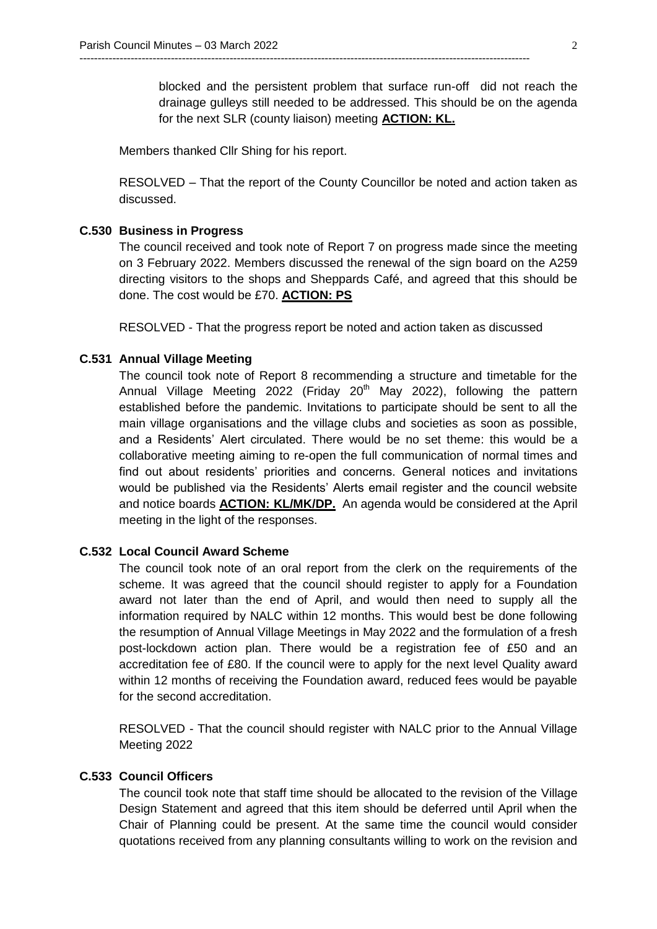blocked and the persistent problem that surface run-off did not reach the drainage gulleys still needed to be addressed. This should be on the agenda for the next SLR (county liaison) meeting **ACTION: KL.**

Members thanked Cllr Shing for his report.

RESOLVED – That the report of the County Councillor be noted and action taken as discussed.

---------------------------------------------------------------------------------------------------------------------------

#### **C.530 Business in Progress**

The council received and took note of Report 7 on progress made since the meeting on 3 February 2022. Members discussed the renewal of the sign board on the A259 directing visitors to the shops and Sheppards Café, and agreed that this should be done. The cost would be £70. **ACTION: PS**

RESOLVED - That the progress report be noted and action taken as discussed

### **C.531 Annual Village Meeting**

The council took note of Report 8 recommending a structure and timetable for the Annual Village Meeting 2022 (Friday 20<sup>th</sup> May 2022), following the pattern established before the pandemic. Invitations to participate should be sent to all the main village organisations and the village clubs and societies as soon as possible, and a Residents' Alert circulated. There would be no set theme: this would be a collaborative meeting aiming to re-open the full communication of normal times and find out about residents' priorities and concerns. General notices and invitations would be published via the Residents' Alerts email register and the council website and notice boards **ACTION: KL/MK/DP.** An agenda would be considered at the April meeting in the light of the responses.

# **C.532 Local Council Award Scheme**

The council took note of an oral report from the clerk on the requirements of the scheme. It was agreed that the council should register to apply for a Foundation award not later than the end of April, and would then need to supply all the information required by NALC within 12 months. This would best be done following the resumption of Annual Village Meetings in May 2022 and the formulation of a fresh post-lockdown action plan. There would be a registration fee of £50 and an accreditation fee of £80. If the council were to apply for the next level Quality award within 12 months of receiving the Foundation award, reduced fees would be payable for the second accreditation.

RESOLVED - That the council should register with NALC prior to the Annual Village Meeting 2022

## **C.533 Council Officers**

The council took note that staff time should be allocated to the revision of the Village Design Statement and agreed that this item should be deferred until April when the Chair of Planning could be present. At the same time the council would consider quotations received from any planning consultants willing to work on the revision and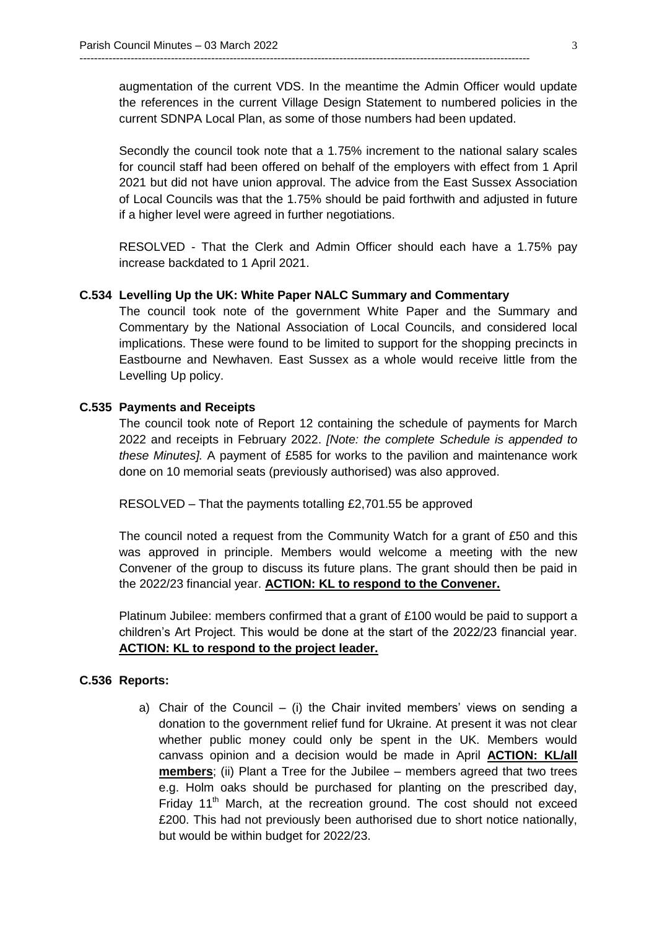augmentation of the current VDS. In the meantime the Admin Officer would update the references in the current Village Design Statement to numbered policies in the current SDNPA Local Plan, as some of those numbers had been updated.

---------------------------------------------------------------------------------------------------------------------------

Secondly the council took note that a 1.75% increment to the national salary scales for council staff had been offered on behalf of the employers with effect from 1 April 2021 but did not have union approval. The advice from the East Sussex Association of Local Councils was that the 1.75% should be paid forthwith and adjusted in future if a higher level were agreed in further negotiations.

RESOLVED - That the Clerk and Admin Officer should each have a 1.75% pay increase backdated to 1 April 2021.

### **C.534 Levelling Up the UK: White Paper NALC Summary and Commentary**

The council took note of the government White Paper and the Summary and Commentary by the National Association of Local Councils, and considered local implications. These were found to be limited to support for the shopping precincts in Eastbourne and Newhaven. East Sussex as a whole would receive little from the Levelling Up policy.

#### **C.535 Payments and Receipts**

The council took note of Report 12 containing the schedule of payments for March 2022 and receipts in February 2022. *[Note: the complete Schedule is appended to these Minutes].* A payment of £585 for works to the pavilion and maintenance work done on 10 memorial seats (previously authorised) was also approved.

RESOLVED – That the payments totalling £2,701.55 be approved

The council noted a request from the Community Watch for a grant of £50 and this was approved in principle. Members would welcome a meeting with the new Convener of the group to discuss its future plans. The grant should then be paid in the 2022/23 financial year. **ACTION: KL to respond to the Convener.**

Platinum Jubilee: members confirmed that a grant of £100 would be paid to support a children's Art Project. This would be done at the start of the 2022/23 financial year. **ACTION: KL to respond to the project leader.** 

### **C.536 Reports:**

a) Chair of the Council – (i) the Chair invited members' views on sending a donation to the government relief fund for Ukraine. At present it was not clear whether public money could only be spent in the UK. Members would canvass opinion and a decision would be made in April **ACTION: KL/all members**; (ii) Plant a Tree for the Jubilee – members agreed that two trees e.g. Holm oaks should be purchased for planting on the prescribed day, Friday 11<sup>th</sup> March, at the recreation ground. The cost should not exceed £200. This had not previously been authorised due to short notice nationally, but would be within budget for 2022/23.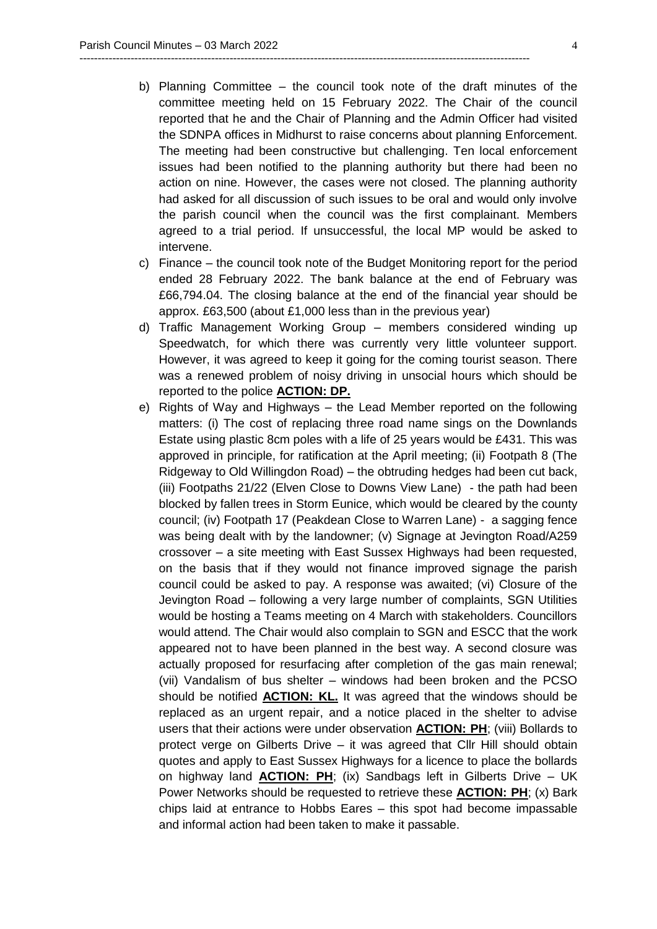b) Planning Committee – the council took note of the draft minutes of the committee meeting held on 15 February 2022. The Chair of the council reported that he and the Chair of Planning and the Admin Officer had visited the SDNPA offices in Midhurst to raise concerns about planning Enforcement. The meeting had been constructive but challenging. Ten local enforcement issues had been notified to the planning authority but there had been no action on nine. However, the cases were not closed. The planning authority had asked for all discussion of such issues to be oral and would only involve the parish council when the council was the first complainant. Members agreed to a trial period. If unsuccessful, the local MP would be asked to intervene.

---------------------------------------------------------------------------------------------------------------------------

- c) Finance the council took note of the Budget Monitoring report for the period ended 28 February 2022. The bank balance at the end of February was £66,794.04. The closing balance at the end of the financial year should be approx. £63,500 (about £1,000 less than in the previous year)
- d) Traffic Management Working Group members considered winding up Speedwatch, for which there was currently very little volunteer support. However, it was agreed to keep it going for the coming tourist season. There was a renewed problem of noisy driving in unsocial hours which should be reported to the police **ACTION: DP.**
- e) Rights of Way and Highways the Lead Member reported on the following matters: (i) The cost of replacing three road name sings on the Downlands Estate using plastic 8cm poles with a life of 25 years would be £431. This was approved in principle, for ratification at the April meeting; (ii) Footpath 8 (The Ridgeway to Old Willingdon Road) – the obtruding hedges had been cut back, (iii) Footpaths 21/22 (Elven Close to Downs View Lane) - the path had been blocked by fallen trees in Storm Eunice, which would be cleared by the county council; (iv) Footpath 17 (Peakdean Close to Warren Lane) - a sagging fence was being dealt with by the landowner; (v) Signage at Jevington Road/A259 crossover – a site meeting with East Sussex Highways had been requested, on the basis that if they would not finance improved signage the parish council could be asked to pay. A response was awaited; (vi) Closure of the Jevington Road – following a very large number of complaints, SGN Utilities would be hosting a Teams meeting on 4 March with stakeholders. Councillors would attend. The Chair would also complain to SGN and ESCC that the work appeared not to have been planned in the best way. A second closure was actually proposed for resurfacing after completion of the gas main renewal; (vii) Vandalism of bus shelter – windows had been broken and the PCSO should be notified **ACTION: KL.** It was agreed that the windows should be replaced as an urgent repair, and a notice placed in the shelter to advise users that their actions were under observation **ACTION: PH**; (viii) Bollards to protect verge on Gilberts Drive – it was agreed that Cllr Hill should obtain quotes and apply to East Sussex Highways for a licence to place the bollards on highway land **ACTION: PH**; (ix) Sandbags left in Gilberts Drive – UK Power Networks should be requested to retrieve these **ACTION: PH**; (x) Bark chips laid at entrance to Hobbs Eares – this spot had become impassable and informal action had been taken to make it passable.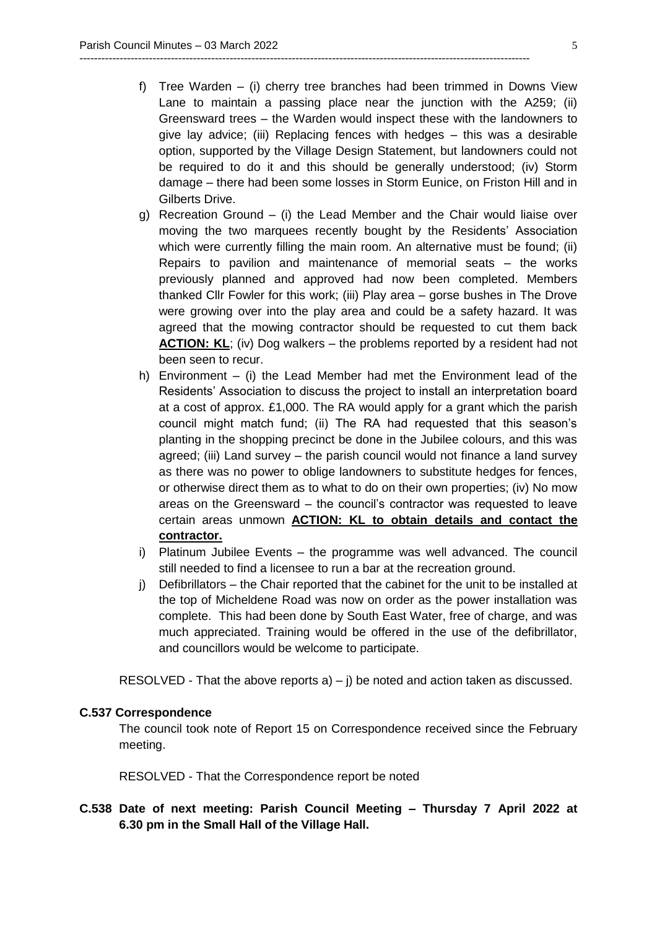f) Tree Warden – (i) cherry tree branches had been trimmed in Downs View Lane to maintain a passing place near the junction with the A259; (ii) Greensward trees – the Warden would inspect these with the landowners to give lay advice; (iii) Replacing fences with hedges – this was a desirable option, supported by the Village Design Statement, but landowners could not be required to do it and this should be generally understood; (iv) Storm damage – there had been some losses in Storm Eunice, on Friston Hill and in Gilberts Drive.

---------------------------------------------------------------------------------------------------------------------------

- g) Recreation Ground (i) the Lead Member and the Chair would liaise over moving the two marquees recently bought by the Residents' Association which were currently filling the main room. An alternative must be found; (ii) Repairs to pavilion and maintenance of memorial seats – the works previously planned and approved had now been completed. Members thanked Cllr Fowler for this work; (iii) Play area – gorse bushes in The Drove were growing over into the play area and could be a safety hazard. It was agreed that the mowing contractor should be requested to cut them back **ACTION: KL**; (iv) Dog walkers – the problems reported by a resident had not been seen to recur.
- h) Environment (i) the Lead Member had met the Environment lead of the Residents' Association to discuss the project to install an interpretation board at a cost of approx. £1,000. The RA would apply for a grant which the parish council might match fund; (ii) The RA had requested that this season's planting in the shopping precinct be done in the Jubilee colours, and this was agreed; (iii) Land survey – the parish council would not finance a land survey as there was no power to oblige landowners to substitute hedges for fences, or otherwise direct them as to what to do on their own properties; (iv) No mow areas on the Greensward – the council's contractor was requested to leave certain areas unmown **ACTION: KL to obtain details and contact the contractor.**
- i) Platinum Jubilee Events the programme was well advanced. The council still needed to find a licensee to run a bar at the recreation ground.
- j) Defibrillators the Chair reported that the cabinet for the unit to be installed at the top of Micheldene Road was now on order as the power installation was complete. This had been done by South East Water, free of charge, and was much appreciated. Training would be offered in the use of the defibrillator, and councillors would be welcome to participate.

RESOLVED - That the above reports  $a$ ) – j) be noted and action taken as discussed.

### **C.537 Correspondence**

The council took note of Report 15 on Correspondence received since the February meeting.

RESOLVED - That the Correspondence report be noted

# **C.538 Date of next meeting: Parish Council Meeting – Thursday 7 April 2022 at 6.30 pm in the Small Hall of the Village Hall.**